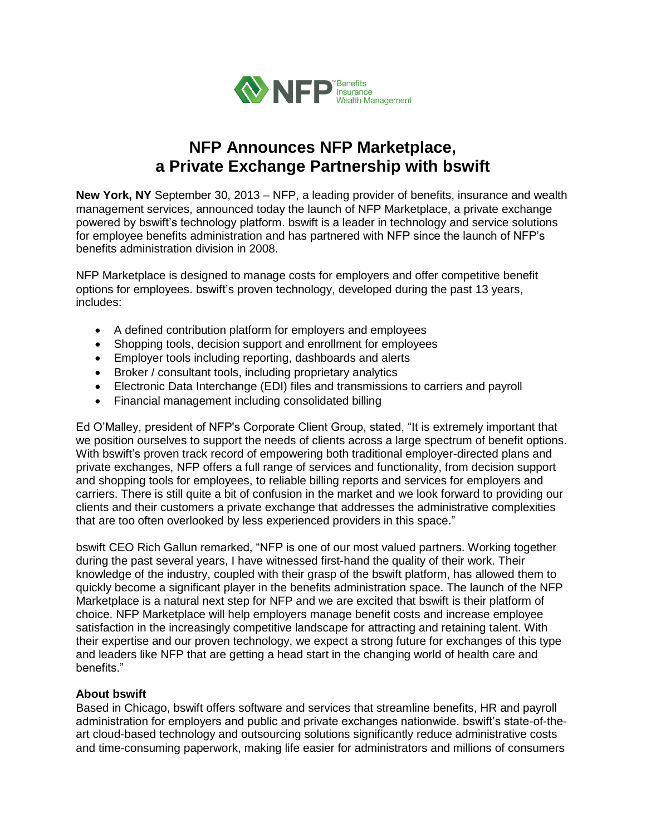

## **NFP Announces NFP Marketplace, a Private Exchange Partnership with bswift**

**New York, NY** September 30, 2013 – NFP, a leading provider of benefits, insurance and wealth management services, announced today the launch of NFP Marketplace, a private exchange powered by bswift's technology platform. bswift is a leader in technology and service solutions for employee benefits administration and has partnered with NFP since the launch of NFP's benefits administration division in 2008.

NFP Marketplace is designed to manage costs for employers and offer competitive benefit options for employees. bswift's proven technology, developed during the past 13 years, includes:

- A defined contribution platform for employers and employees
- Shopping tools, decision support and enrollment for employees
- Employer tools including reporting, dashboards and alerts
- Broker / consultant tools, including proprietary analytics
- Electronic Data Interchange (EDI) files and transmissions to carriers and payroll
- Financial management including consolidated billing

Ed O'Malley, president of NFP's Corporate Client Group, stated, "It is extremely important that we position ourselves to support the needs of clients across a large spectrum of benefit options. With bswift's proven track record of empowering both traditional employer-directed plans and private exchanges, NFP offers a full range of services and functionality, from decision support and shopping tools for employees, to reliable billing reports and services for employers and carriers. There is still quite a bit of confusion in the market and we look forward to providing our clients and their customers a private exchange that addresses the administrative complexities that are too often overlooked by less experienced providers in this space."

bswift CEO [Rich Gallun](http://www.bswift.com/index.php?/public/aboutus#about-team) remarked, "NFP is one of our most valued partners. Working together during the past several years, I have witnessed first-hand the quality of their work. Their knowledge of the industry, coupled with their grasp of the bswift platform, has allowed them to quickly become a significant player in the benefits administration space. The launch of the NFP Marketplace is a natural next step for NFP and we are excited that bswift is their platform of choice. NFP Marketplace will help employers manage benefit costs and increase employee satisfaction in the increasingly competitive landscape for attracting and retaining talent. With their expertise and our proven technology, we expect a strong future for exchanges of this type and leaders like NFP that are getting a head start in the changing world of health care and benefits."

## **About bswift**

Based in Chicago, bswift offers software and services that streamline benefits, HR and payroll administration for employers and public and private exchanges nationwide. bswift's state-of-theart cloud-based technology and outsourcing solutions significantly reduce administrative costs and time-consuming paperwork, making life easier for administrators and millions of consumers